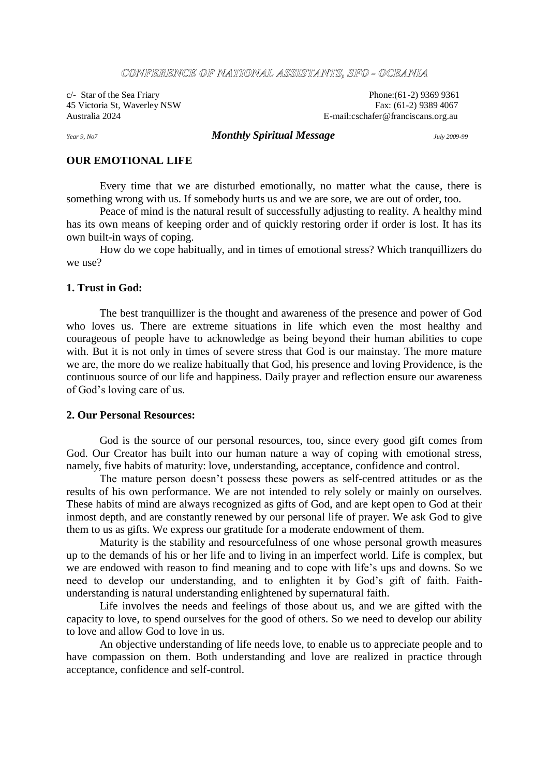#### CONFIERIENCIE OF NATIONAL ASSISTANTS, SFO - OCEANIA

 $c$ - Star of the Sea Friary Phone:(61-2) 9369 9361 45 Victoria St, Waverley NSW Fax: (61-2) 9389 4067<br>Australia 2024<br>E-mail:cschafer@franciscans.org.au E-mail:cschafer@franciscans.org.au

### *Year 9, No7 Monthly Spiritual Message July 2009-99*

# **OUR EMOTIONAL LIFE**

Every time that we are disturbed emotionally, no matter what the cause, there is something wrong with us. If somebody hurts us and we are sore, we are out of order, too.

Peace of mind is the natural result of successfully adjusting to reality. A healthy mind has its own means of keeping order and of quickly restoring order if order is lost. It has its own built-in ways of coping.

How do we cope habitually, and in times of emotional stress? Which tranquillizers do we use?

# **1. Trust in God:**

The best tranquillizer is the thought and awareness of the presence and power of God who loves us. There are extreme situations in life which even the most healthy and courageous of people have to acknowledge as being beyond their human abilities to cope with. But it is not only in times of severe stress that God is our mainstay. The more mature we are, the more do we realize habitually that God, his presence and loving Providence, is the continuous source of our life and happiness. Daily prayer and reflection ensure our awareness of God's loving care of us.

### **2. Our Personal Resources:**

God is the source of our personal resources, too, since every good gift comes from God. Our Creator has built into our human nature a way of coping with emotional stress, namely, five habits of maturity: love, understanding, acceptance, confidence and control.

The mature person doesn't possess these powers as self-centred attitudes or as the results of his own performance. We are not intended to rely solely or mainly on ourselves. These habits of mind are always recognized as gifts of God, and are kept open to God at their inmost depth, and are constantly renewed by our personal life of prayer. We ask God to give them to us as gifts. We express our gratitude for a moderate endowment of them.

Maturity is the stability and resourcefulness of one whose personal growth measures up to the demands of his or her life and to living in an imperfect world. Life is complex, but we are endowed with reason to find meaning and to cope with life's ups and downs. So we need to develop our understanding, and to enlighten it by God's gift of faith. Faithunderstanding is natural understanding enlightened by supernatural faith.

Life involves the needs and feelings of those about us, and we are gifted with the capacity to love, to spend ourselves for the good of others. So we need to develop our ability to love and allow God to love in us.

An objective understanding of life needs love, to enable us to appreciate people and to have compassion on them. Both understanding and love are realized in practice through acceptance, confidence and self-control.